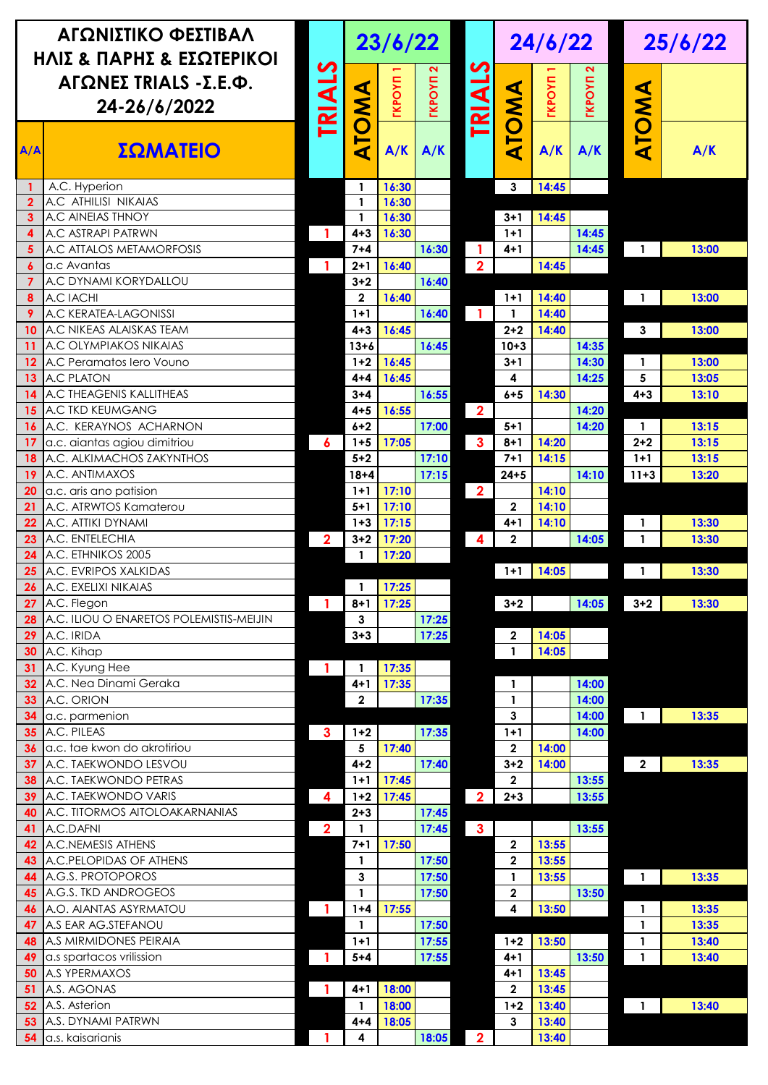| ΑΓΩΝΙΣΤΙΚΟ ΦΕΣΤΙΒΑΛ<br>ΗΛΙΣ & ΠΑΡΗΣ & ΕΣΩΤΕΡΙΚΟΙ |                                                |                         | 23/6/22            |               |                           |                         | 24/6/22                 |                |                | 25/6/22                  |       |
|--------------------------------------------------|------------------------------------------------|-------------------------|--------------------|---------------|---------------------------|-------------------------|-------------------------|----------------|----------------|--------------------------|-------|
| ΑΓΩΝΕΣ TRIALS -Σ.Ε.Φ.<br>24-26/6/2022            |                                                | <b>TRIALS</b>           | <b>TOMA</b>        | <b>TKPOYN</b> | <b>TKPOYN<sub>2</sub></b> | <b>TRIALS</b>           |                         | <b>TKPOYN</b>  | <b>TKPOYN</b>  |                          |       |
| A/A                                              | ΣΩΜΑΤΕΙΟ                                       |                         | ∢                  | A/K           | A/K                       |                         | ATOMA                   | A/K            | A/K            | ATOMA                    | A/K   |
|                                                  | A.C. Hyperion                                  |                         | $\mathbf{1}$       | 16:30         |                           |                         | 3                       | 14:45          |                |                          |       |
| $\overline{2}$                                   | A.C ATHILISI NIKAIAS                           |                         | $\mathbf{1}$       | 16:30         |                           |                         |                         |                |                |                          |       |
| 3                                                | A.C AINEIAS THNOY                              |                         | 1                  | 16:30         |                           |                         | $3+1$                   | 14:45          |                |                          |       |
| 4<br>5                                           | A.C ASTRAPI PATRWN<br>A.C ATTALOS METAMORFOSIS | 1                       | $4 + 3$<br>$7 + 4$ | 16:30         | 16:30                     |                         | $1+1$<br>$4 + 1$        |                | 14:45<br>14:45 | $\mathbf{1}$             | 13:00 |
| 6                                                | a.c Avantas                                    | 1                       | $2+1$              | 16:40         |                           | $\overline{2}$          |                         | 14:45          |                |                          |       |
| 7                                                | A.C DYNAMI KORYDALLOU                          |                         | $3 + 2$            |               | 16:40                     |                         |                         |                |                |                          |       |
| 8                                                | A.C IACHI                                      |                         | $\overline{2}$     | 16:40         |                           |                         | $1+1$                   | 14:40          |                | $\mathbf{1}$             | 13:00 |
| 9                                                | A.C KERATEA-LAGONISSI                          |                         | $1+1$              |               | 16:40                     | $\blacksquare$          | 1                       | 14:40          |                |                          |       |
| 10                                               | A.C NIKEAS ALAISKAS TEAM                       |                         | $4 + 3$            | 16:45         |                           |                         | $2 + 2$                 | 14:40          |                | 3                        | 13:00 |
| 11                                               | A.C OLYMPIAKOS NIKAIAS                         |                         | $13 + 6$           |               | 16:45                     |                         | $10 + 3$                |                | 14:35          |                          |       |
| 12                                               | A.C Peramatos lero Vouno                       |                         | $1 + 2$            | 16:45         |                           |                         | 3+1                     |                | 14:30          | 1                        | 13:00 |
| 13                                               | <b>A.C PLATON</b>                              |                         | $4 + 4$            | 16:45         |                           |                         | 4                       |                | 14:25          | 5                        | 13:05 |
| 14                                               | A.C THEAGENIS KALLITHEAS                       |                         | $3 + 4$            |               | 16:55                     |                         | $6 + 5$                 | 14:30          |                | $4 + 3$                  | 13:10 |
| 15                                               | A.C TKD KEUMGANG                               |                         | $4 + 5$            | 16:55         |                           | $\overline{\mathbf{2}}$ |                         |                | 14:20          |                          |       |
| 16                                               | A.C. KERAYNOS ACHARNON                         |                         | $6 + 2$            |               | 17:00                     |                         | $5+1$                   |                | 14:20          | 1                        | 13:15 |
| 17                                               | a.c. aiantas agiou dimitriou                   | 6                       | $1 + 5$            | 17:05         |                           | $\overline{\mathbf{3}}$ | $8 + 1$                 | 14:20          |                | $2 + 2$                  | 13:15 |
| 18                                               | A.C. ALKIMACHOS ZAKYNTHOS                      |                         | $5 + 2$            |               | 17:10                     |                         | $7 + 1$                 | 14:15          |                | $1+1$                    | 13:15 |
| 19                                               | A.C. ANTIMAXOS                                 |                         | $18 + 4$           |               | 17:15                     |                         | $24 + 5$                |                | 14:10          | $11 + 3$                 | 13:20 |
| 20                                               | a.c. aris ano patision                         |                         | $1+1$              | 17:10         |                           | $\overline{\mathbf{2}}$ |                         | 14:10          |                |                          |       |
| 21                                               | A.C. ATRWTOS Kamaterou                         |                         | $5 + 1$            | 17:10         |                           |                         | $\overline{2}$          | 14:10          |                |                          |       |
| 22                                               | A.C. ATTIKI DYNAMI                             |                         | $1 + 3$            | 17:15         |                           |                         | 4+1                     | 14:10          |                | 1                        | 13:30 |
| 23                                               | A.C. ENTELECHIA                                | $\overline{\mathbf{2}}$ | $3 + 2$            | 17:20         |                           | $\overline{\mathbf{4}}$ | $\mathbf{2}$            |                | 14:05          | $\mathbf{1}$             | 13:30 |
| 24                                               | A.C. ETHNIKOS 2005<br>A.C. EVRIPOS XALKIDAS    |                         | 1                  | 17:20         |                           |                         |                         |                |                |                          | 13:30 |
| 25<br>26                                         | A.C. EXELIXI NIKAIAS                           |                         | 1                  | 17:25         |                           |                         | $1+1$                   | 14:05          |                | $\mathbf{1}$             |       |
| 27                                               | A.C. Flegon                                    | $\mathbf{1}$            | $8 + 1$            | 17:25         |                           |                         | $3 + 2$                 |                | 14:05          | $3 + 2$                  | 13:30 |
| 28                                               | A.C. ILIOU O ENARETOS POLEMISTIS-MEIJIN        |                         | 3                  |               | 17:25                     |                         |                         |                |                |                          |       |
| 29                                               | A.C. IRIDA                                     |                         | $3 + 3$            |               | 17:25                     |                         | $\mathbf 2$             | 14:05          |                |                          |       |
| 30                                               | A.C. Kihap                                     |                         |                    |               |                           |                         | $\mathbf{1}$            | 14:05          |                |                          |       |
| 31                                               | A.C. Kyung Hee                                 | $\overline{1}$          | $\mathbf{1}$       | 17:35         |                           |                         |                         |                |                |                          |       |
| 32                                               | A.C. Nea Dinami Geraka                         |                         | $4 + 1$            | 17:35         |                           |                         | 1                       |                | 14:00          |                          |       |
| 33                                               | A.C. ORION                                     |                         | $\mathbf{2}$       |               | 17:35                     |                         | $\mathbf{1}$            |                | 14:00          |                          |       |
| 34                                               | a.c. parmenion                                 |                         |                    |               |                           |                         | 3                       |                | 14:00          | $\overline{1}$           | 13:35 |
| 35                                               | A.C. PILEAS                                    | $\mathbf{3}$            | $1 + 2$            |               | 17:35                     |                         | $1 + 1$                 |                | 14:00          |                          |       |
| 36                                               | a.c. tae kwon do akrotiriou                    |                         | 5                  | 17:40         |                           |                         | $\overline{\mathbf{2}}$ | 14:00          |                |                          |       |
| 37                                               | A.C. TAEKWONDO LESVOU                          |                         | $4 + 2$            |               | 17:40                     |                         | $3 + 2$                 | 14:00          |                | $\mathbf{2}$             | 13:35 |
| 38                                               | A.C. TAEKWONDO PETRAS                          |                         | $1+1$              | 17:45         |                           |                         | $\overline{2}$          |                | 13:55          |                          |       |
| 39                                               | A.C. TAEKWONDO VARIS                           | 4                       | $1 + 2$            | 17:45         |                           | $\overline{\mathbf{2}}$ | $2 + 3$                 |                | 13:55          |                          |       |
| 40                                               | A.C. TITORMOS AITOLOAKARNANIAS                 |                         | $2 + 3$            |               | 17:45                     |                         |                         |                |                |                          |       |
| 41                                               | A.C.DAFNI                                      | $\overline{\mathbf{2}}$ | 1                  |               | 17:45                     | $\mathbf{3}$            |                         |                | 13:55          |                          |       |
| 42                                               | A.C.NEMESIS ATHENS                             |                         | $7 + 1$            | 17:50         |                           |                         | $\mathbf{2}$            | 13:55          |                |                          |       |
| 43                                               | A.C.PELOPIDAS OF ATHENS                        |                         | $\mathbf{1}$       |               | 17:50                     |                         | $\mathbf{2}$            | 13:55          |                |                          |       |
| 44                                               | A.G.S. PROTOPOROS                              |                         | $\mathbf{3}$       |               | 17:50                     |                         | $\mathbf{1}$            | 13:55          |                | $\blacksquare$           | 13:35 |
| 45                                               | A.G.S. TKD ANDROGEOS                           |                         | 1                  |               | 17:50                     |                         | $\mathbf{2}$            |                | 13:50          |                          |       |
| 46                                               | A.O. AIANTAS ASYRMATOU                         | $\mathbf{1}$            | $1 + 4$            | 17:55         |                           |                         | 4                       | 13:50          |                | $\mathbf{1}$             | 13:35 |
| 47                                               | A.S EAR AG.STEFANOU                            |                         | $\mathbf{1}$       |               | 17:50                     |                         |                         |                |                | 1                        | 13:35 |
| 48                                               | A.S MIRMIDONES PEIRAIA                         |                         | $1 + 1$            |               | 17:55                     |                         | $1 + 2$                 | 13:50          |                | 1                        | 13:40 |
| 49                                               | a.s spartacos vrilission                       | 1                       | $5 + 4$            |               | 17:55                     |                         | $4 + 1$                 |                | 13:50          | $\mathbf{1}$             | 13:40 |
| 50                                               | A.S YPERMAXOS                                  |                         |                    |               |                           |                         | $4 + 1$                 | 13:45          |                |                          |       |
| 51                                               | A.S. AGONAS                                    | -1                      | $4 + 1$            | 18:00         |                           |                         | $\mathbf{2}$<br>$1 + 2$ | 13:45          |                |                          |       |
| 52                                               | A.S. Asterion<br>A.S. DYNAMI PATRWN            |                         | $\mathbf{1}$       | 18:00         |                           |                         |                         | 13:40<br>13:40 |                | $\overline{\phantom{a}}$ | 13:40 |
| 53<br>54                                         | a.s. kaisarianis                               |                         | $4 + 4$<br>4       | 18:05         | 18:05                     |                         | 3                       | 13:40          |                |                          |       |
|                                                  |                                                |                         |                    |               |                           | $\overline{2}$          |                         |                |                |                          |       |